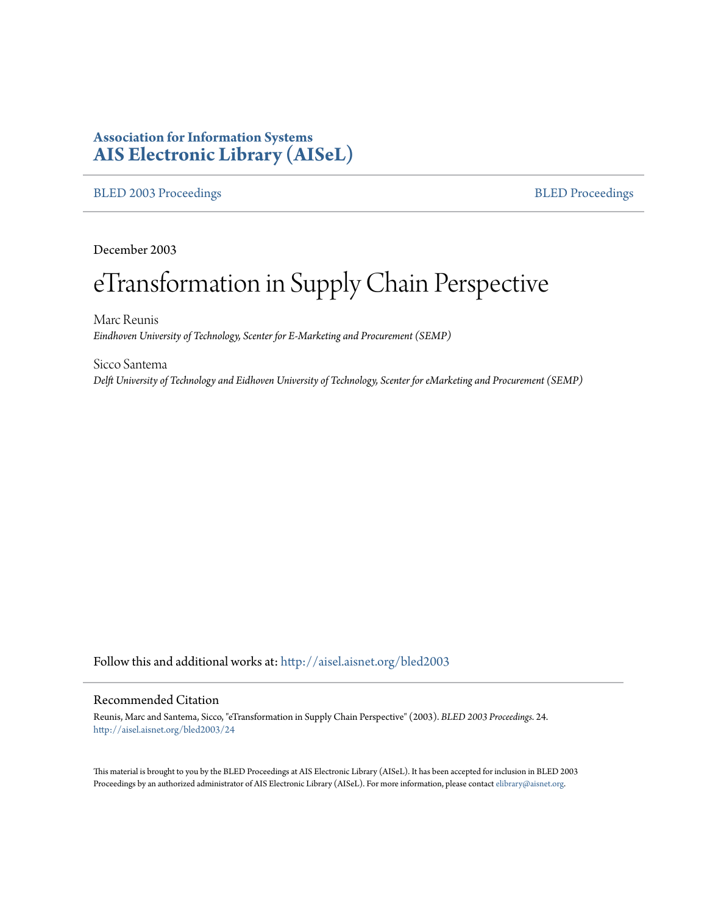## **Association for Information Systems [AIS Electronic Library \(AISeL\)](http://aisel.aisnet.org?utm_source=aisel.aisnet.org%2Fbled2003%2F24&utm_medium=PDF&utm_campaign=PDFCoverPages)**

#### [BLED 2003 Proceedings](http://aisel.aisnet.org/bled2003?utm_source=aisel.aisnet.org%2Fbled2003%2F24&utm_medium=PDF&utm_campaign=PDFCoverPages) and the state of the state of the [BLED Proceedings](http://aisel.aisnet.org/bled?utm_source=aisel.aisnet.org%2Fbled2003%2F24&utm_medium=PDF&utm_campaign=PDFCoverPages) and the BLED Proceedings and the BLED Proceedings and the BLED Proceedings and the BLED Proceedings and the BLED Proceedings and the BLED Proceedings

December 2003

# eTransformation in Supply Chain Perspective

Marc Reunis *Eindhoven University of Technology, Scenter for E-Marketing and Procurement (SEMP)*

Sicco Santema *Delft University of Technology and Eidhoven University of Technology, Scenter for eMarketing and Procurement (SEMP)*

Follow this and additional works at: [http://aisel.aisnet.org/bled2003](http://aisel.aisnet.org/bled2003?utm_source=aisel.aisnet.org%2Fbled2003%2F24&utm_medium=PDF&utm_campaign=PDFCoverPages)

#### Recommended Citation

Reunis, Marc and Santema, Sicco, "eTransformation in Supply Chain Perspective" (2003). *BLED 2003 Proceedings*. 24. [http://aisel.aisnet.org/bled2003/24](http://aisel.aisnet.org/bled2003/24?utm_source=aisel.aisnet.org%2Fbled2003%2F24&utm_medium=PDF&utm_campaign=PDFCoverPages)

This material is brought to you by the BLED Proceedings at AIS Electronic Library (AISeL). It has been accepted for inclusion in BLED 2003 Proceedings by an authorized administrator of AIS Electronic Library (AISeL). For more information, please contact [elibrary@aisnet.org](mailto:elibrary@aisnet.org%3E).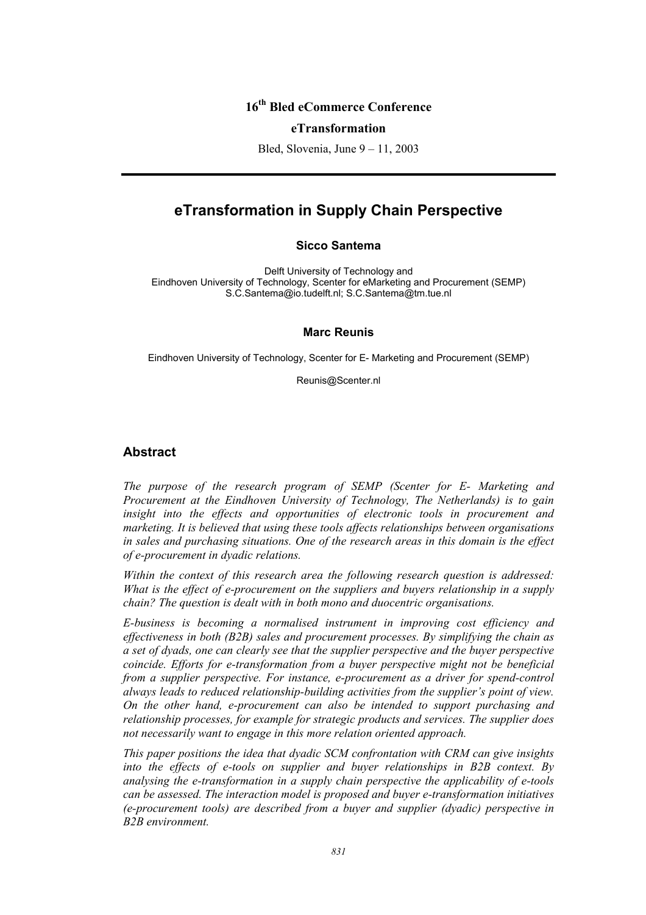## **16th Bled eCommerce Conference**

#### **eTransformation**

Bled, Slovenia, June 9 – 11, 2003

# **eTransformation in Supply Chain Perspective**

#### **Sicco Santema**

Delft University of Technology and Eindhoven University of Technology, Scenter for eMarketing and Procurement (SEMP) S.C.Santema@io.tudelft.nl; S.C.Santema@tm.tue.nl

#### **Marc Reunis**

Eindhoven University of Technology, Scenter for E- Marketing and Procurement (SEMP)

Reunis@Scenter.nl

#### **Abstract**

*The purpose of the research program of SEMP (Scenter for E- Marketing and Procurement at the Eindhoven University of Technology, The Netherlands) is to gain insight into the effects and opportunities of electronic tools in procurement and marketing. It is believed that using these tools affects relationships between organisations in sales and purchasing situations. One of the research areas in this domain is the effect of e-procurement in dyadic relations.* 

*Within the context of this research area the following research question is addressed: What is the effect of e-procurement on the suppliers and buyers relationship in a supply chain? The question is dealt with in both mono and duocentric organisations.* 

*E-business is becoming a normalised instrument in improving cost efficiency and effectiveness in both (B2B) sales and procurement processes. By simplifying the chain as a set of dyads, one can clearly see that the supplier perspective and the buyer perspective coincide. Efforts for e-transformation from a buyer perspective might not be beneficial from a supplier perspective. For instance, e-procurement as a driver for spend-control always leads to reduced relationship-building activities from the supplier's point of view. On the other hand, e-procurement can also be intended to support purchasing and relationship processes, for example for strategic products and services. The supplier does not necessarily want to engage in this more relation oriented approach.* 

*This paper positions the idea that dyadic SCM confrontation with CRM can give insights into the effects of e-tools on supplier and buyer relationships in B2B context. By analysing the e-transformation in a supply chain perspective the applicability of e-tools can be assessed. The interaction model is proposed and buyer e-transformation initiatives (e-procurement tools) are described from a buyer and supplier (dyadic) perspective in B2B environment.*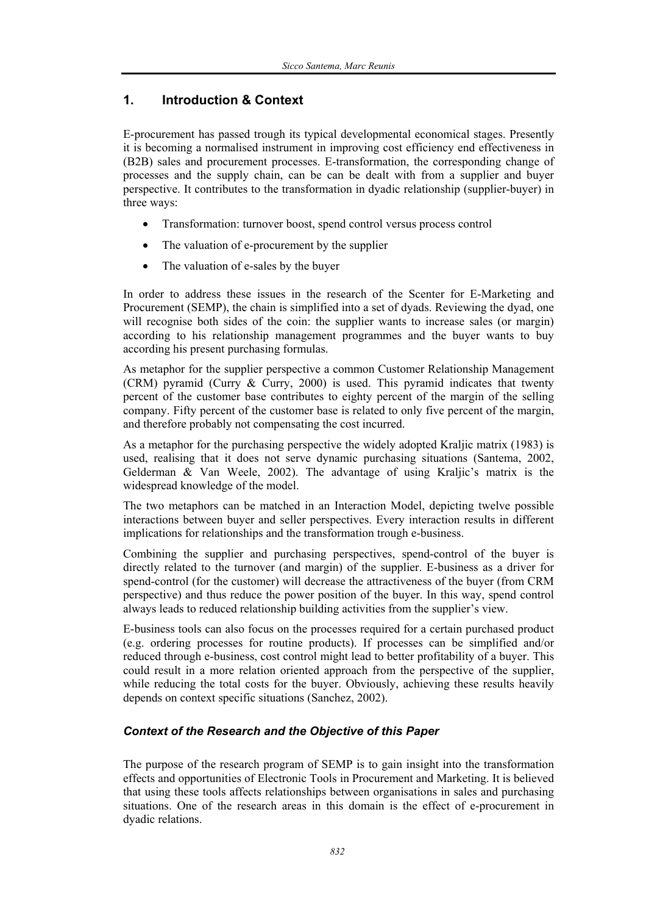## **1. Introduction & Context**

E-procurement has passed trough its typical developmental economical stages. Presently it is becoming a normalised instrument in improving cost efficiency end effectiveness in (B2B) sales and procurement processes. E-transformation, the corresponding change of processes and the supply chain, can be can be dealt with from a supplier and buyer perspective. It contributes to the transformation in dyadic relationship (supplier-buyer) in three ways:

- Transformation: turnover boost, spend control versus process control
- The valuation of e-procurement by the supplier
- The valuation of e-sales by the buyer

In order to address these issues in the research of the Scenter for E-Marketing and Procurement (SEMP), the chain is simplified into a set of dyads. Reviewing the dyad, one will recognise both sides of the coin: the supplier wants to increase sales (or margin) according to his relationship management programmes and the buyer wants to buy according his present purchasing formulas.

As metaphor for the supplier perspective a common Customer Relationship Management (CRM) pyramid (Curry & Curry, 2000) is used. This pyramid indicates that twenty percent of the customer base contributes to eighty percent of the margin of the selling company. Fifty percent of the customer base is related to only five percent of the margin, and therefore probably not compensating the cost incurred.

As a metaphor for the purchasing perspective the widely adopted Kraljic matrix (1983) is used, realising that it does not serve dynamic purchasing situations (Santema, 2002, Gelderman & Van Weele, 2002). The advantage of using Kraljic's matrix is the widespread knowledge of the model.

The two metaphors can be matched in an Interaction Model, depicting twelve possible interactions between buyer and seller perspectives. Every interaction results in different implications for relationships and the transformation trough e-business.

Combining the supplier and purchasing perspectives, spend-control of the buyer is directly related to the turnover (and margin) of the supplier. E-business as a driver for spend-control (for the customer) will decrease the attractiveness of the buyer (from CRM perspective) and thus reduce the power position of the buyer. In this way, spend control always leads to reduced relationship building activities from the supplier's view.

E-business tools can also focus on the processes required for a certain purchased product (e.g. ordering processes for routine products). If processes can be simplified and/or reduced through e-business, cost control might lead to better profitability of a buyer. This could result in a more relation oriented approach from the perspective of the supplier, while reducing the total costs for the buyer. Obviously, achieving these results heavily depends on context specific situations (Sanchez, 2002).

### *Context of the Research and the Objective of this Paper*

The purpose of the research program of SEMP is to gain insight into the transformation effects and opportunities of Electronic Tools in Procurement and Marketing. It is believed that using these tools affects relationships between organisations in sales and purchasing situations. One of the research areas in this domain is the effect of e-procurement in dyadic relations.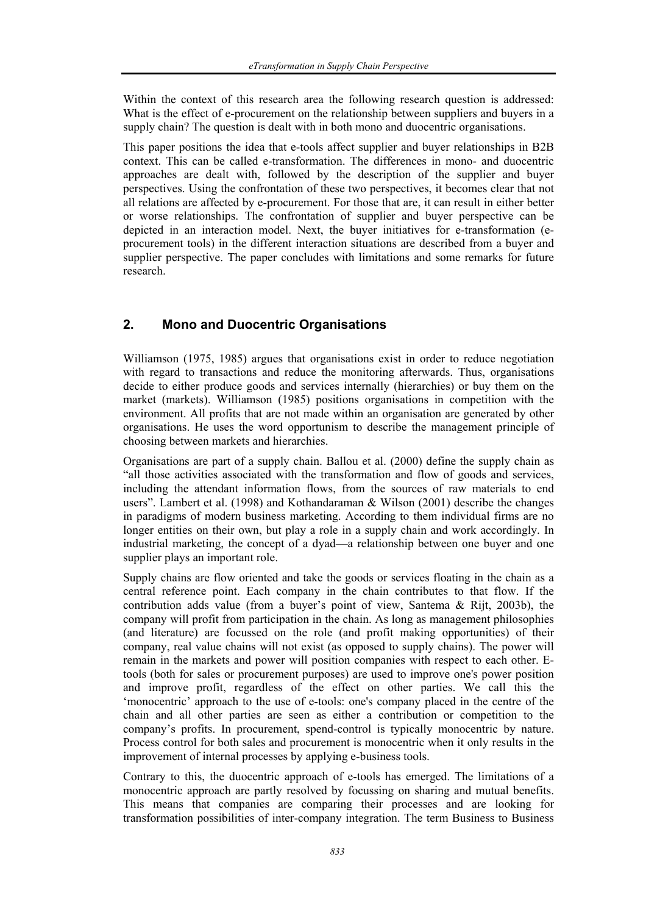Within the context of this research area the following research question is addressed: What is the effect of e-procurement on the relationship between suppliers and buyers in a supply chain? The question is dealt with in both mono and duocentric organisations.

This paper positions the idea that e-tools affect supplier and buyer relationships in B2B context. This can be called e-transformation. The differences in mono- and duocentric approaches are dealt with, followed by the description of the supplier and buyer perspectives. Using the confrontation of these two perspectives, it becomes clear that not all relations are affected by e-procurement. For those that are, it can result in either better or worse relationships. The confrontation of supplier and buyer perspective can be depicted in an interaction model. Next, the buyer initiatives for e-transformation (eprocurement tools) in the different interaction situations are described from a buyer and supplier perspective. The paper concludes with limitations and some remarks for future research.

## **2. Mono and Duocentric Organisations**

Williamson (1975, 1985) argues that organisations exist in order to reduce negotiation with regard to transactions and reduce the monitoring afterwards. Thus, organisations decide to either produce goods and services internally (hierarchies) or buy them on the market (markets). Williamson (1985) positions organisations in competition with the environment. All profits that are not made within an organisation are generated by other organisations. He uses the word opportunism to describe the management principle of choosing between markets and hierarchies.

Organisations are part of a supply chain. Ballou et al. (2000) define the supply chain as "all those activities associated with the transformation and flow of goods and services, including the attendant information flows, from the sources of raw materials to end users". Lambert et al. (1998) and Kothandaraman & Wilson (2001) describe the changes in paradigms of modern business marketing. According to them individual firms are no longer entities on their own, but play a role in a supply chain and work accordingly. In industrial marketing, the concept of a dyad—a relationship between one buyer and one supplier plays an important role.

Supply chains are flow oriented and take the goods or services floating in the chain as a central reference point. Each company in the chain contributes to that flow. If the contribution adds value (from a buyer's point of view, Santema & Rijt, 2003b), the company will profit from participation in the chain. As long as management philosophies (and literature) are focussed on the role (and profit making opportunities) of their company, real value chains will not exist (as opposed to supply chains). The power will remain in the markets and power will position companies with respect to each other. Etools (both for sales or procurement purposes) are used to improve one's power position and improve profit, regardless of the effect on other parties. We call this the 'monocentric' approach to the use of e-tools: one's company placed in the centre of the chain and all other parties are seen as either a contribution or competition to the company's profits. In procurement, spend-control is typically monocentric by nature. Process control for both sales and procurement is monocentric when it only results in the improvement of internal processes by applying e-business tools.

Contrary to this, the duocentric approach of e-tools has emerged. The limitations of a monocentric approach are partly resolved by focussing on sharing and mutual benefits. This means that companies are comparing their processes and are looking for transformation possibilities of inter-company integration. The term Business to Business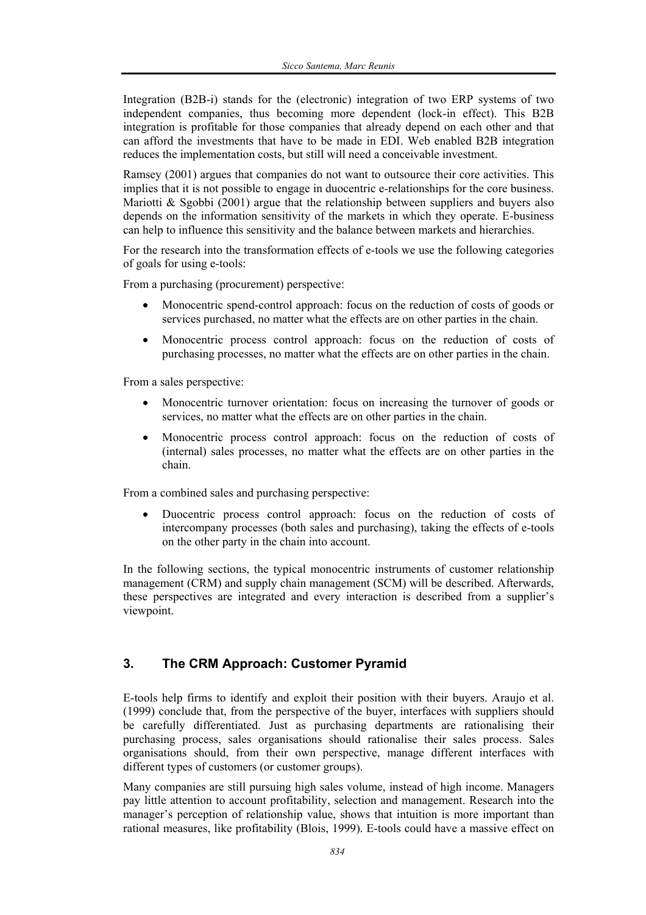Integration (B2B-i) stands for the (electronic) integration of two ERP systems of two independent companies, thus becoming more dependent (lock-in effect). This B2B integration is profitable for those companies that already depend on each other and that can afford the investments that have to be made in EDI. Web enabled B2B integration reduces the implementation costs, but still will need a conceivable investment.

Ramsey (2001) argues that companies do not want to outsource their core activities. This implies that it is not possible to engage in duocentric e-relationships for the core business. Mariotti & Sgobbi (2001) argue that the relationship between suppliers and buyers also depends on the information sensitivity of the markets in which they operate. E-business can help to influence this sensitivity and the balance between markets and hierarchies.

For the research into the transformation effects of e-tools we use the following categories of goals for using e-tools:

From a purchasing (procurement) perspective:

- Monocentric spend-control approach: focus on the reduction of costs of goods or services purchased, no matter what the effects are on other parties in the chain.
- Monocentric process control approach: focus on the reduction of costs of purchasing processes, no matter what the effects are on other parties in the chain.

From a sales perspective:

- Monocentric turnover orientation: focus on increasing the turnover of goods or services, no matter what the effects are on other parties in the chain.
- Monocentric process control approach: focus on the reduction of costs of (internal) sales processes, no matter what the effects are on other parties in the chain.

From a combined sales and purchasing perspective:

• Duocentric process control approach: focus on the reduction of costs of intercompany processes (both sales and purchasing), taking the effects of e-tools on the other party in the chain into account.

In the following sections, the typical monocentric instruments of customer relationship management (CRM) and supply chain management (SCM) will be described. Afterwards, these perspectives are integrated and every interaction is described from a supplier's viewpoint.

## **3. The CRM Approach: Customer Pyramid**

E-tools help firms to identify and exploit their position with their buyers. Araujo et al. (1999) conclude that, from the perspective of the buyer, interfaces with suppliers should be carefully differentiated. Just as purchasing departments are rationalising their purchasing process, sales organisations should rationalise their sales process. Sales organisations should, from their own perspective, manage different interfaces with different types of customers (or customer groups).

Many companies are still pursuing high sales volume, instead of high income. Managers pay little attention to account profitability, selection and management. Research into the manager's perception of relationship value, shows that intuition is more important than rational measures, like profitability (Blois, 1999). E-tools could have a massive effect on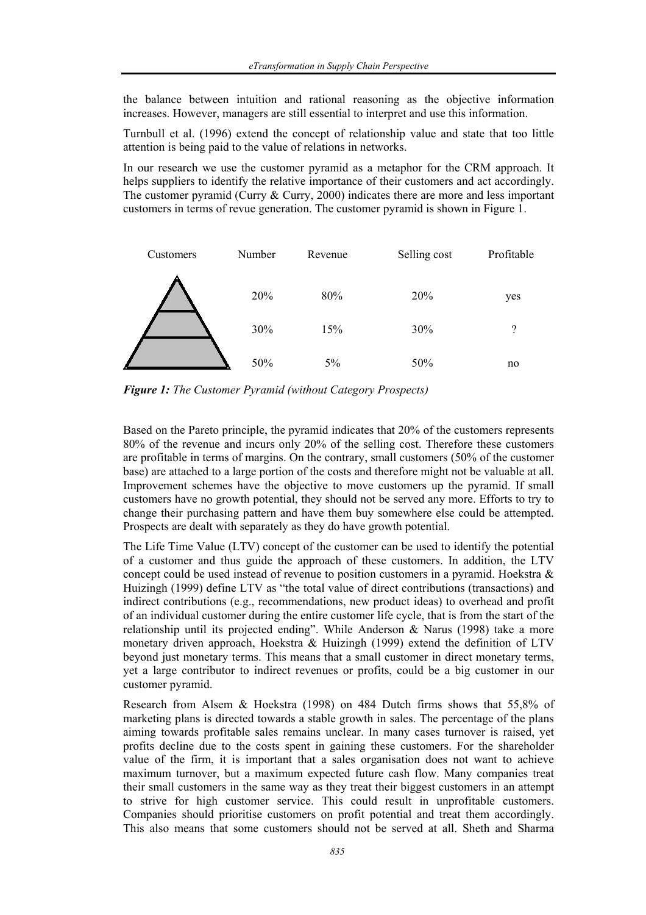the balance between intuition and rational reasoning as the objective information increases. However, managers are still essential to interpret and use this information.

Turnbull et al. (1996) extend the concept of relationship value and state that too little attention is being paid to the value of relations in networks.

In our research we use the customer pyramid as a metaphor for the CRM approach. It helps suppliers to identify the relative importance of their customers and act accordingly. The customer pyramid (Curry & Curry, 2000) indicates there are more and less important customers in terms of revue generation. The customer pyramid is shown in Figure 1.



*Figure 1: The Customer Pyramid (without Category Prospects)* 

Based on the Pareto principle, the pyramid indicates that 20% of the customers represents 80% of the revenue and incurs only 20% of the selling cost. Therefore these customers are profitable in terms of margins. On the contrary, small customers (50% of the customer base) are attached to a large portion of the costs and therefore might not be valuable at all. Improvement schemes have the objective to move customers up the pyramid. If small customers have no growth potential, they should not be served any more. Efforts to try to change their purchasing pattern and have them buy somewhere else could be attempted. Prospects are dealt with separately as they do have growth potential.

The Life Time Value (LTV) concept of the customer can be used to identify the potential of a customer and thus guide the approach of these customers. In addition, the LTV concept could be used instead of revenue to position customers in a pyramid. Hoekstra & Huizingh (1999) define LTV as "the total value of direct contributions (transactions) and indirect contributions (e.g., recommendations, new product ideas) to overhead and profit of an individual customer during the entire customer life cycle, that is from the start of the relationship until its projected ending". While Anderson & Narus (1998) take a more monetary driven approach, Hoekstra  $\&$  Huizingh (1999) extend the definition of LTV beyond just monetary terms. This means that a small customer in direct monetary terms, yet a large contributor to indirect revenues or profits, could be a big customer in our customer pyramid.

Research from Alsem & Hoekstra (1998) on 484 Dutch firms shows that 55,8% of marketing plans is directed towards a stable growth in sales. The percentage of the plans aiming towards profitable sales remains unclear. In many cases turnover is raised, yet profits decline due to the costs spent in gaining these customers. For the shareholder value of the firm, it is important that a sales organisation does not want to achieve maximum turnover, but a maximum expected future cash flow. Many companies treat their small customers in the same way as they treat their biggest customers in an attempt to strive for high customer service. This could result in unprofitable customers. Companies should prioritise customers on profit potential and treat them accordingly. This also means that some customers should not be served at all. Sheth and Sharma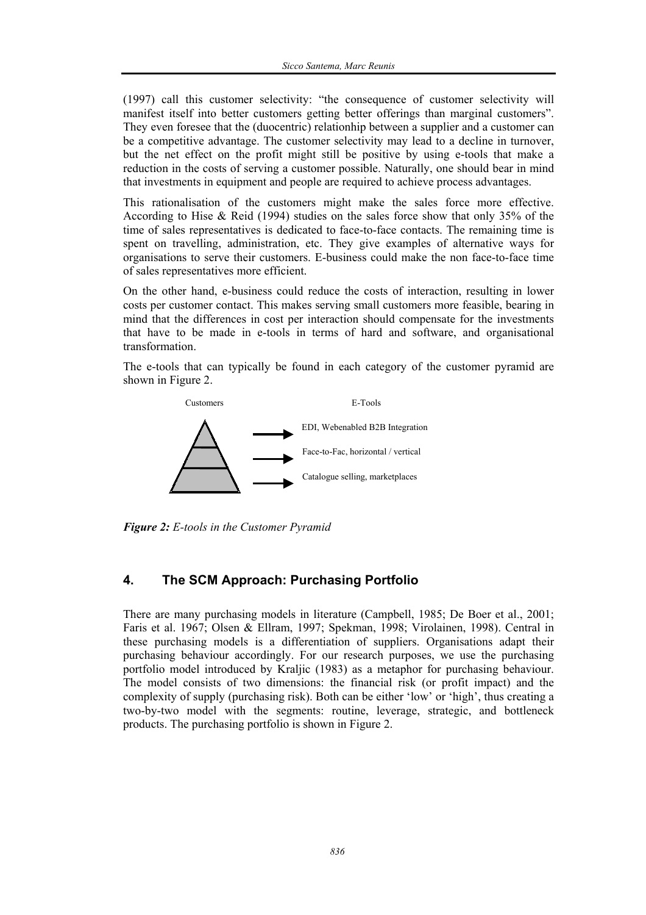(1997) call this customer selectivity: "the consequence of customer selectivity will manifest itself into better customers getting better offerings than marginal customers". They even foresee that the (duocentric) relationhip between a supplier and a customer can be a competitive advantage. The customer selectivity may lead to a decline in turnover, but the net effect on the profit might still be positive by using e-tools that make a reduction in the costs of serving a customer possible. Naturally, one should bear in mind that investments in equipment and people are required to achieve process advantages.

This rationalisation of the customers might make the sales force more effective. According to Hise & Reid (1994) studies on the sales force show that only 35% of the time of sales representatives is dedicated to face-to-face contacts. The remaining time is spent on travelling, administration, etc. They give examples of alternative ways for organisations to serve their customers. E-business could make the non face-to-face time of sales representatives more efficient.

On the other hand, e-business could reduce the costs of interaction, resulting in lower costs per customer contact. This makes serving small customers more feasible, bearing in mind that the differences in cost per interaction should compensate for the investments that have to be made in e-tools in terms of hard and software, and organisational transformation.

The e-tools that can typically be found in each category of the customer pyramid are shown in Figure 2.



*Figure 2: E-tools in the Customer Pyramid* 

## **4. The SCM Approach: Purchasing Portfolio**

There are many purchasing models in literature (Campbell, 1985; De Boer et al., 2001; Faris et al. 1967; Olsen & Ellram, 1997; Spekman, 1998; Virolainen, 1998). Central in these purchasing models is a differentiation of suppliers. Organisations adapt their purchasing behaviour accordingly. For our research purposes, we use the purchasing portfolio model introduced by Kraljic (1983) as a metaphor for purchasing behaviour. The model consists of two dimensions: the financial risk (or profit impact) and the complexity of supply (purchasing risk). Both can be either 'low' or 'high', thus creating a two-by-two model with the segments: routine, leverage, strategic, and bottleneck products. The purchasing portfolio is shown in Figure 2.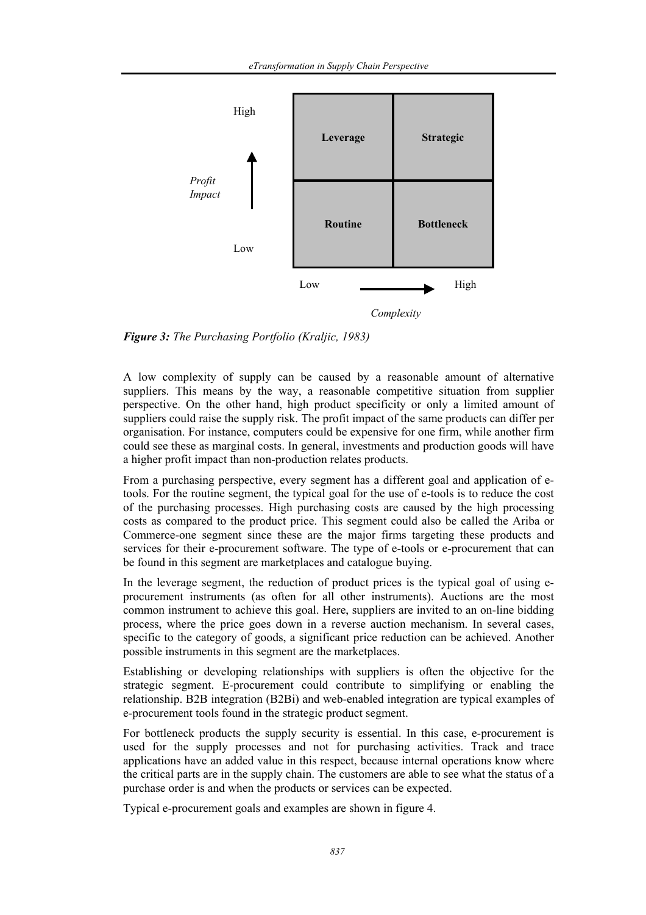

*Figure 3: The Purchasing Portfolio (Kraljic, 1983)* 

A low complexity of supply can be caused by a reasonable amount of alternative suppliers. This means by the way, a reasonable competitive situation from supplier perspective. On the other hand, high product specificity or only a limited amount of suppliers could raise the supply risk. The profit impact of the same products can differ per organisation. For instance, computers could be expensive for one firm, while another firm could see these as marginal costs. In general, investments and production goods will have a higher profit impact than non-production relates products.

From a purchasing perspective, every segment has a different goal and application of etools. For the routine segment, the typical goal for the use of e-tools is to reduce the cost of the purchasing processes. High purchasing costs are caused by the high processing costs as compared to the product price. This segment could also be called the Ariba or Commerce-one segment since these are the major firms targeting these products and services for their e-procurement software. The type of e-tools or e-procurement that can be found in this segment are marketplaces and catalogue buying.

In the leverage segment, the reduction of product prices is the typical goal of using eprocurement instruments (as often for all other instruments). Auctions are the most common instrument to achieve this goal. Here, suppliers are invited to an on-line bidding process, where the price goes down in a reverse auction mechanism. In several cases, specific to the category of goods, a significant price reduction can be achieved. Another possible instruments in this segment are the marketplaces.

Establishing or developing relationships with suppliers is often the objective for the strategic segment. E-procurement could contribute to simplifying or enabling the relationship. B2B integration (B2Bi) and web-enabled integration are typical examples of e-procurement tools found in the strategic product segment.

For bottleneck products the supply security is essential. In this case, e-procurement is used for the supply processes and not for purchasing activities. Track and trace applications have an added value in this respect, because internal operations know where the critical parts are in the supply chain. The customers are able to see what the status of a purchase order is and when the products or services can be expected.

Typical e-procurement goals and examples are shown in figure 4.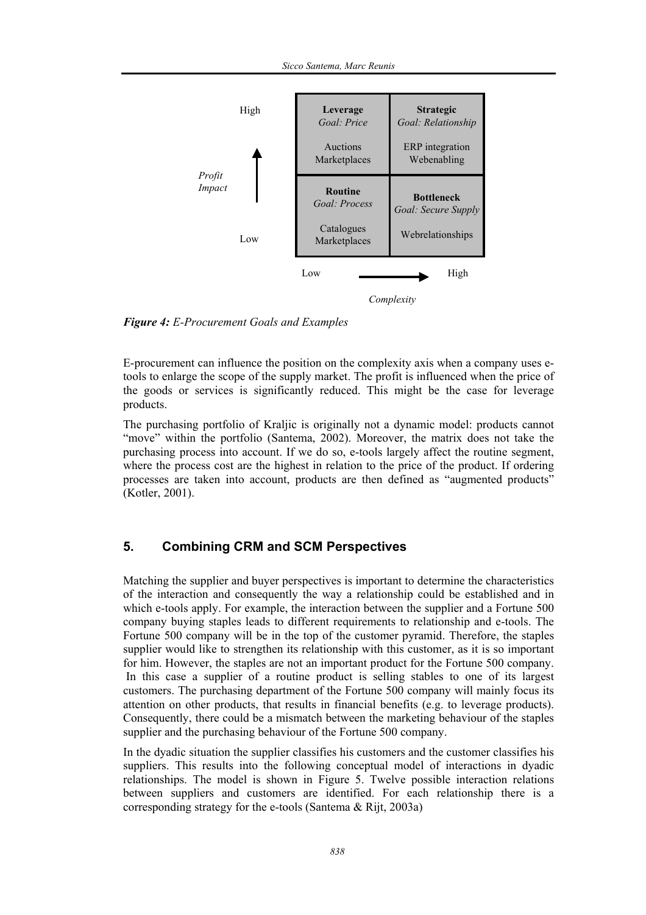

*Figure 4: E-Procurement Goals and Examples* 

E-procurement can influence the position on the complexity axis when a company uses etools to enlarge the scope of the supply market. The profit is influenced when the price of the goods or services is significantly reduced. This might be the case for leverage products.

The purchasing portfolio of Kraljic is originally not a dynamic model: products cannot "move" within the portfolio (Santema, 2002). Moreover, the matrix does not take the purchasing process into account. If we do so, e-tools largely affect the routine segment, where the process cost are the highest in relation to the price of the product. If ordering processes are taken into account, products are then defined as "augmented products" (Kotler, 2001).

## **5. Combining CRM and SCM Perspectives**

Matching the supplier and buyer perspectives is important to determine the characteristics of the interaction and consequently the way a relationship could be established and in which e-tools apply. For example, the interaction between the supplier and a Fortune 500 company buying staples leads to different requirements to relationship and e-tools. The Fortune 500 company will be in the top of the customer pyramid. Therefore, the staples supplier would like to strengthen its relationship with this customer, as it is so important for him. However, the staples are not an important product for the Fortune 500 company. In this case a supplier of a routine product is selling stables to one of its largest customers. The purchasing department of the Fortune 500 company will mainly focus its attention on other products, that results in financial benefits (e.g. to leverage products). Consequently, there could be a mismatch between the marketing behaviour of the staples supplier and the purchasing behaviour of the Fortune 500 company.

In the dyadic situation the supplier classifies his customers and the customer classifies his suppliers. This results into the following conceptual model of interactions in dyadic relationships. The model is shown in Figure 5. Twelve possible interaction relations between suppliers and customers are identified. For each relationship there is a corresponding strategy for the e-tools (Santema & Rijt, 2003a)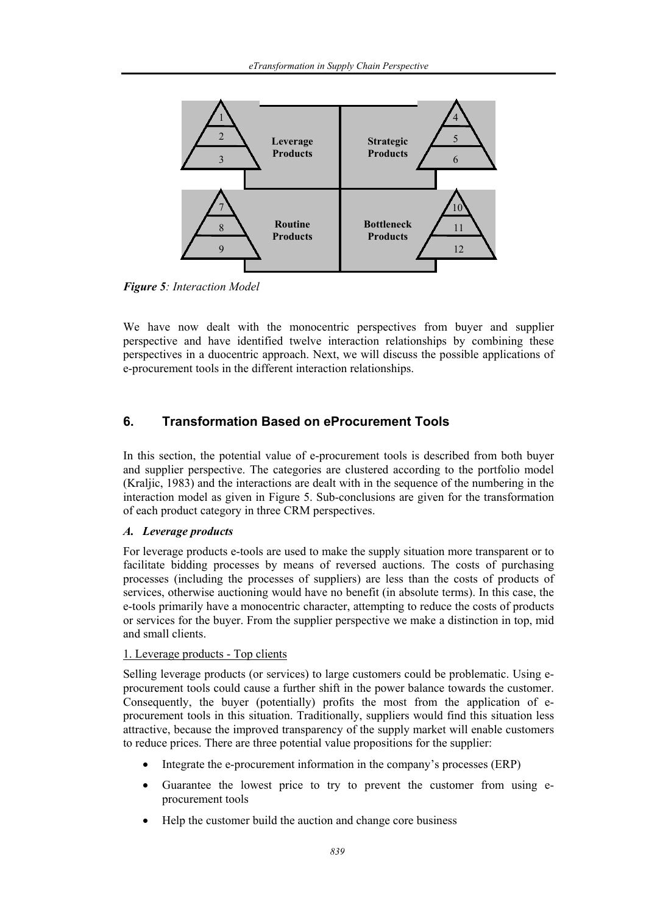

*Figure 5: Interaction Model* 

We have now dealt with the monocentric perspectives from buyer and supplier perspective and have identified twelve interaction relationships by combining these perspectives in a duocentric approach. Next, we will discuss the possible applications of e-procurement tools in the different interaction relationships.

## **6. Transformation Based on eProcurement Tools**

In this section, the potential value of e-procurement tools is described from both buyer and supplier perspective. The categories are clustered according to the portfolio model (Kraljic, 1983) and the interactions are dealt with in the sequence of the numbering in the interaction model as given in Figure 5. Sub-conclusions are given for the transformation of each product category in three CRM perspectives.

#### *A. Leverage products*

For leverage products e-tools are used to make the supply situation more transparent or to facilitate bidding processes by means of reversed auctions. The costs of purchasing processes (including the processes of suppliers) are less than the costs of products of services, otherwise auctioning would have no benefit (in absolute terms). In this case, the e-tools primarily have a monocentric character, attempting to reduce the costs of products or services for the buyer. From the supplier perspective we make a distinction in top, mid and small clients.

#### 1. Leverage products - Top clients

Selling leverage products (or services) to large customers could be problematic. Using eprocurement tools could cause a further shift in the power balance towards the customer. Consequently, the buyer (potentially) profits the most from the application of eprocurement tools in this situation. Traditionally, suppliers would find this situation less attractive, because the improved transparency of the supply market will enable customers to reduce prices. There are three potential value propositions for the supplier:

- Integrate the e-procurement information in the company's processes (ERP)
- Guarantee the lowest price to try to prevent the customer from using eprocurement tools
- Help the customer build the auction and change core business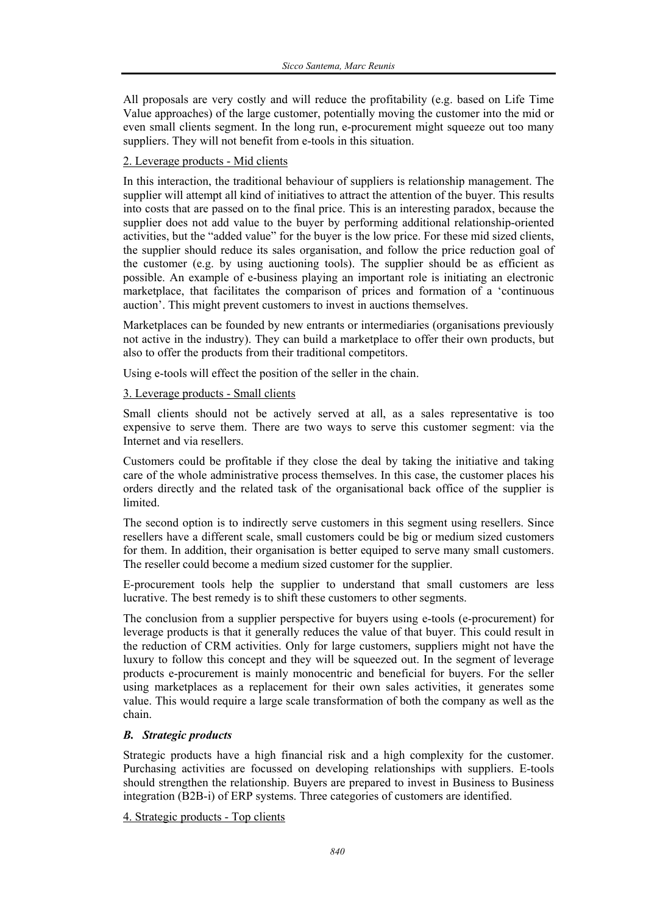All proposals are very costly and will reduce the profitability (e.g. based on Life Time Value approaches) of the large customer, potentially moving the customer into the mid or even small clients segment. In the long run, e-procurement might squeeze out too many suppliers. They will not benefit from e-tools in this situation.

#### 2. Leverage products - Mid clients

In this interaction, the traditional behaviour of suppliers is relationship management. The supplier will attempt all kind of initiatives to attract the attention of the buyer. This results into costs that are passed on to the final price. This is an interesting paradox, because the supplier does not add value to the buyer by performing additional relationship-oriented activities, but the "added value" for the buyer is the low price. For these mid sized clients, the supplier should reduce its sales organisation, and follow the price reduction goal of the customer (e.g. by using auctioning tools). The supplier should be as efficient as possible. An example of e-business playing an important role is initiating an electronic marketplace, that facilitates the comparison of prices and formation of a 'continuous auction'. This might prevent customers to invest in auctions themselves.

Marketplaces can be founded by new entrants or intermediaries (organisations previously not active in the industry). They can build a marketplace to offer their own products, but also to offer the products from their traditional competitors.

Using e-tools will effect the position of the seller in the chain.

#### 3. Leverage products - Small clients

Small clients should not be actively served at all, as a sales representative is too expensive to serve them. There are two ways to serve this customer segment: via the Internet and via resellers.

Customers could be profitable if they close the deal by taking the initiative and taking care of the whole administrative process themselves. In this case, the customer places his orders directly and the related task of the organisational back office of the supplier is limited.

The second option is to indirectly serve customers in this segment using resellers. Since resellers have a different scale, small customers could be big or medium sized customers for them. In addition, their organisation is better equiped to serve many small customers. The reseller could become a medium sized customer for the supplier.

E-procurement tools help the supplier to understand that small customers are less lucrative. The best remedy is to shift these customers to other segments.

The conclusion from a supplier perspective for buyers using e-tools (e-procurement) for leverage products is that it generally reduces the value of that buyer. This could result in the reduction of CRM activities. Only for large customers, suppliers might not have the luxury to follow this concept and they will be squeezed out. In the segment of leverage products e-procurement is mainly monocentric and beneficial for buyers. For the seller using marketplaces as a replacement for their own sales activities, it generates some value. This would require a large scale transformation of both the company as well as the chain.

#### *B. Strategic products*

Strategic products have a high financial risk and a high complexity for the customer. Purchasing activities are focussed on developing relationships with suppliers. E-tools should strengthen the relationship. Buyers are prepared to invest in Business to Business integration (B2B-i) of ERP systems. Three categories of customers are identified.

4. Strategic products - Top clients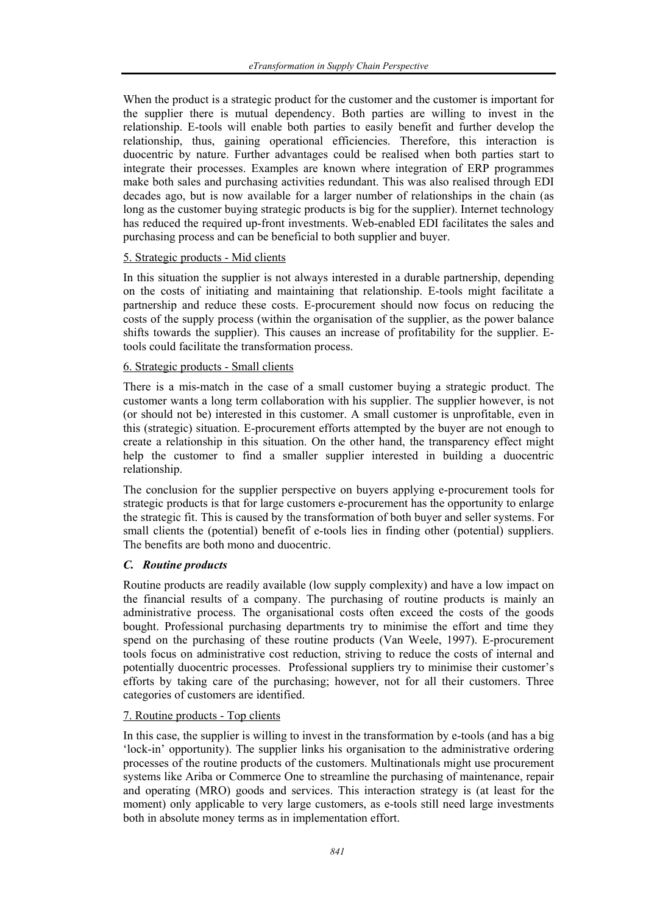When the product is a strategic product for the customer and the customer is important for the supplier there is mutual dependency. Both parties are willing to invest in the relationship. E-tools will enable both parties to easily benefit and further develop the relationship, thus, gaining operational efficiencies. Therefore, this interaction is duocentric by nature. Further advantages could be realised when both parties start to integrate their processes. Examples are known where integration of ERP programmes make both sales and purchasing activities redundant. This was also realised through EDI decades ago, but is now available for a larger number of relationships in the chain (as long as the customer buying strategic products is big for the supplier). Internet technology has reduced the required up-front investments. Web-enabled EDI facilitates the sales and purchasing process and can be beneficial to both supplier and buyer.

#### 5. Strategic products - Mid clients

In this situation the supplier is not always interested in a durable partnership, depending on the costs of initiating and maintaining that relationship. E-tools might facilitate a partnership and reduce these costs. E-procurement should now focus on reducing the costs of the supply process (within the organisation of the supplier, as the power balance shifts towards the supplier). This causes an increase of profitability for the supplier. Etools could facilitate the transformation process.

#### 6. Strategic products - Small clients

There is a mis-match in the case of a small customer buying a strategic product. The customer wants a long term collaboration with his supplier. The supplier however, is not (or should not be) interested in this customer. A small customer is unprofitable, even in this (strategic) situation. E-procurement efforts attempted by the buyer are not enough to create a relationship in this situation. On the other hand, the transparency effect might help the customer to find a smaller supplier interested in building a duocentric relationship.

The conclusion for the supplier perspective on buyers applying e-procurement tools for strategic products is that for large customers e-procurement has the opportunity to enlarge the strategic fit. This is caused by the transformation of both buyer and seller systems. For small clients the (potential) benefit of e-tools lies in finding other (potential) suppliers. The benefits are both mono and duocentric.

#### *C. Routine products*

Routine products are readily available (low supply complexity) and have a low impact on the financial results of a company. The purchasing of routine products is mainly an administrative process. The organisational costs often exceed the costs of the goods bought. Professional purchasing departments try to minimise the effort and time they spend on the purchasing of these routine products (Van Weele, 1997). E-procurement tools focus on administrative cost reduction, striving to reduce the costs of internal and potentially duocentric processes. Professional suppliers try to minimise their customer's efforts by taking care of the purchasing; however, not for all their customers. Three categories of customers are identified.

#### 7. Routine products - Top clients

In this case, the supplier is willing to invest in the transformation by e-tools (and has a big 'lock-in' opportunity). The supplier links his organisation to the administrative ordering processes of the routine products of the customers. Multinationals might use procurement systems like Ariba or Commerce One to streamline the purchasing of maintenance, repair and operating (MRO) goods and services. This interaction strategy is (at least for the moment) only applicable to very large customers, as e-tools still need large investments both in absolute money terms as in implementation effort.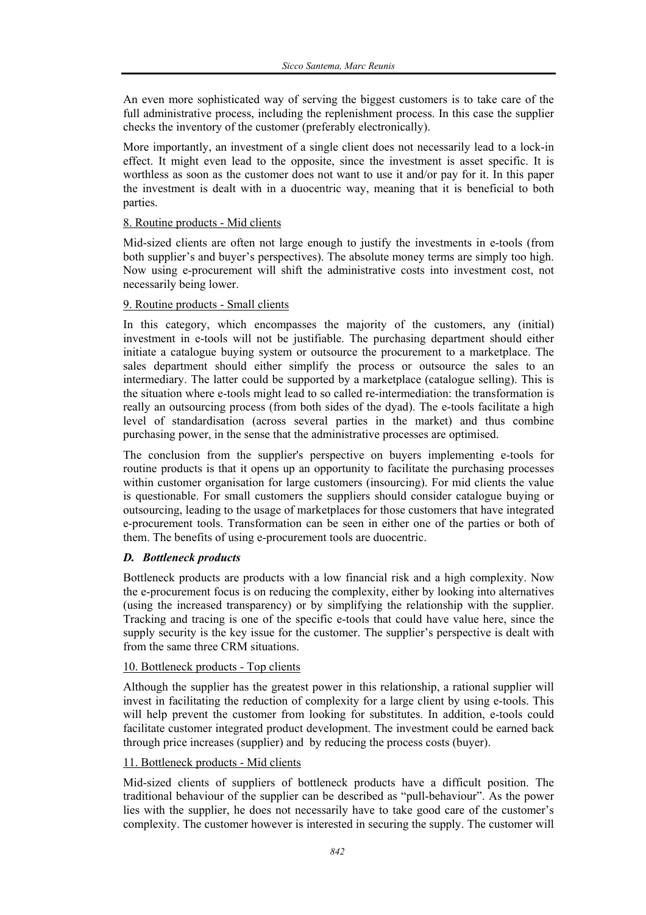An even more sophisticated way of serving the biggest customers is to take care of the full administrative process, including the replenishment process. In this case the supplier checks the inventory of the customer (preferably electronically).

More importantly, an investment of a single client does not necessarily lead to a lock-in effect. It might even lead to the opposite, since the investment is asset specific. It is worthless as soon as the customer does not want to use it and/or pay for it. In this paper the investment is dealt with in a duocentric way, meaning that it is beneficial to both parties.

#### 8. Routine products - Mid clients

Mid-sized clients are often not large enough to justify the investments in e-tools (from both supplier's and buyer's perspectives). The absolute money terms are simply too high. Now using e-procurement will shift the administrative costs into investment cost, not necessarily being lower.

#### 9. Routine products - Small clients

In this category, which encompasses the majority of the customers, any (initial) investment in e-tools will not be justifiable. The purchasing department should either initiate a catalogue buying system or outsource the procurement to a marketplace. The sales department should either simplify the process or outsource the sales to an intermediary. The latter could be supported by a marketplace (catalogue selling). This is the situation where e-tools might lead to so called re-intermediation: the transformation is really an outsourcing process (from both sides of the dyad). The e-tools facilitate a high level of standardisation (across several parties in the market) and thus combine purchasing power, in the sense that the administrative processes are optimised.

The conclusion from the supplier's perspective on buyers implementing e-tools for routine products is that it opens up an opportunity to facilitate the purchasing processes within customer organisation for large customers (insourcing). For mid clients the value is questionable. For small customers the suppliers should consider catalogue buying or outsourcing, leading to the usage of marketplaces for those customers that have integrated e-procurement tools. Transformation can be seen in either one of the parties or both of them. The benefits of using e-procurement tools are duocentric.

#### *D. Bottleneck products*

Bottleneck products are products with a low financial risk and a high complexity. Now the e-procurement focus is on reducing the complexity, either by looking into alternatives (using the increased transparency) or by simplifying the relationship with the supplier. Tracking and tracing is one of the specific e-tools that could have value here, since the supply security is the key issue for the customer. The supplier's perspective is dealt with from the same three CRM situations.

#### 10. Bottleneck products - Top clients

Although the supplier has the greatest power in this relationship, a rational supplier will invest in facilitating the reduction of complexity for a large client by using e-tools. This will help prevent the customer from looking for substitutes. In addition, e-tools could facilitate customer integrated product development. The investment could be earned back through price increases (supplier) and by reducing the process costs (buyer).

#### 11. Bottleneck products - Mid clients

Mid-sized clients of suppliers of bottleneck products have a difficult position. The traditional behaviour of the supplier can be described as "pull-behaviour". As the power lies with the supplier, he does not necessarily have to take good care of the customer's complexity. The customer however is interested in securing the supply. The customer will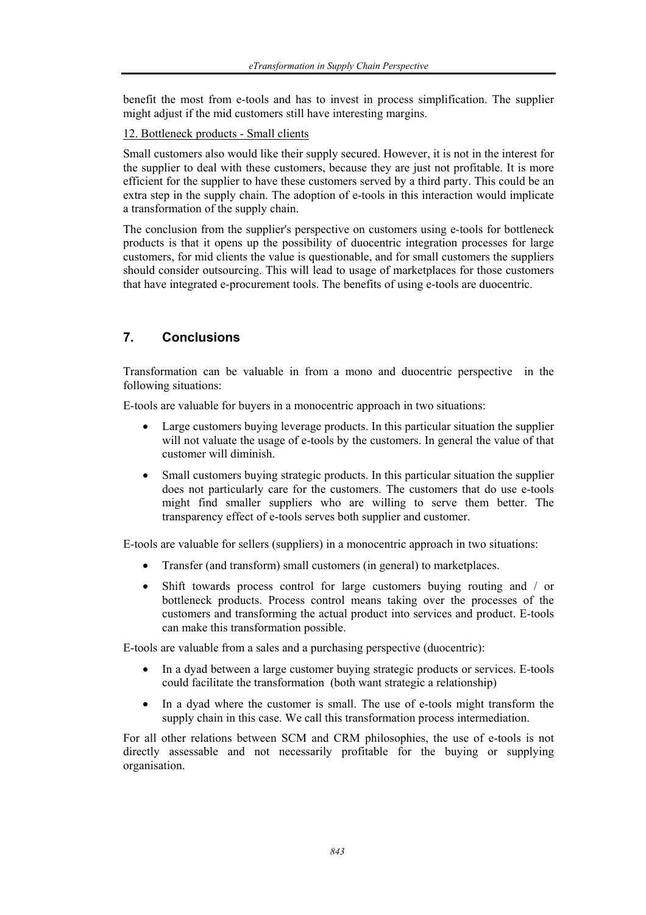benefit the most from e-tools and has to invest in process simplification. The supplier might adjust if the mid customers still have interesting margins.

12. Bottleneck products - Small clients

Small customers also would like their supply secured. However, it is not in the interest for the supplier to deal with these customers, because they are just not profitable. It is more efficient for the supplier to have these customers served by a third party. This could be an extra step in the supply chain. The adoption of e-tools in this interaction would implicate a transformation of the supply chain.

The conclusion from the supplier's perspective on customers using e-tools for bottleneck products is that it opens up the possibility of duocentric integration processes for large customers, for mid clients the value is questionable, and for small customers the suppliers should consider outsourcing. This will lead to usage of marketplaces for those customers that have integrated e-procurement tools. The benefits of using e-tools are duocentric.

#### **7. Conclusions**

Transformation can be valuable in from a mono and duocentric perspective in the following situations:

E-tools are valuable for buyers in a monocentric approach in two situations:

- Large customers buying leverage products. In this particular situation the supplier will not valuate the usage of e-tools by the customers. In general the value of that customer will diminish.
- Small customers buying strategic products. In this particular situation the supplier does not particularly care for the customers. The customers that do use e-tools might find smaller suppliers who are willing to serve them better. The transparency effect of e-tools serves both supplier and customer.

E-tools are valuable for sellers (suppliers) in a monocentric approach in two situations:

- Transfer (and transform) small customers (in general) to marketplaces.
- Shift towards process control for large customers buying routing and / or bottleneck products. Process control means taking over the processes of the customers and transforming the actual product into services and product. E-tools can make this transformation possible.

E-tools are valuable from a sales and a purchasing perspective (duocentric):

- In a dyad between a large customer buying strategic products or services. E-tools could facilitate the transformation (both want strategic a relationship)
- In a dyad where the customer is small. The use of e-tools might transform the supply chain in this case. We call this transformation process intermediation.

For all other relations between SCM and CRM philosophies, the use of e-tools is not directly assessable and not necessarily profitable for the buying or supplying organisation.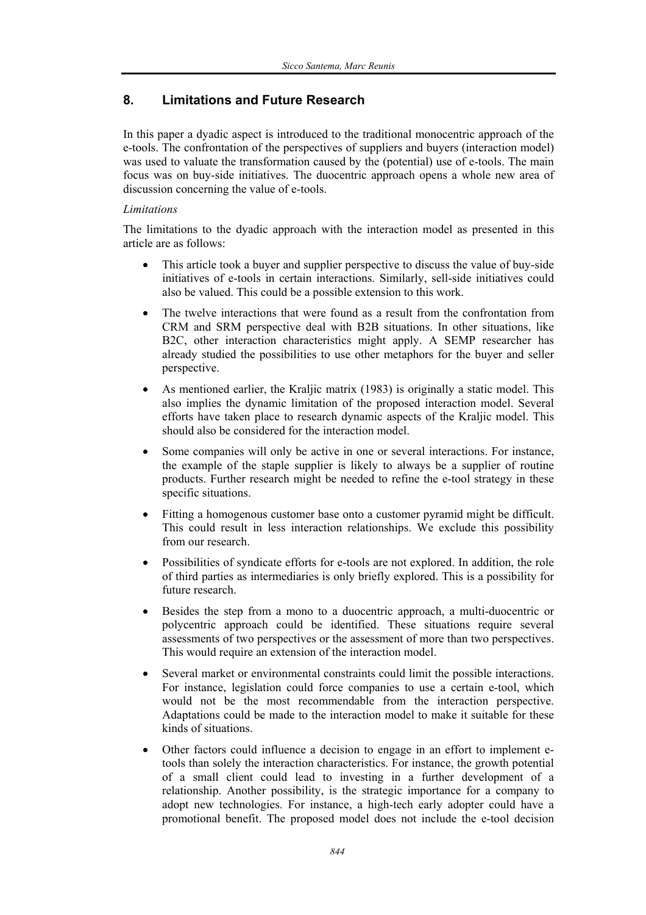## **8. Limitations and Future Research**

In this paper a dyadic aspect is introduced to the traditional monocentric approach of the e-tools. The confrontation of the perspectives of suppliers and buyers (interaction model) was used to valuate the transformation caused by the (potential) use of e-tools. The main focus was on buy-side initiatives. The duocentric approach opens a whole new area of discussion concerning the value of e-tools.

#### *Limitations*

The limitations to the dyadic approach with the interaction model as presented in this article are as follows:

- This article took a buyer and supplier perspective to discuss the value of buy-side initiatives of e-tools in certain interactions. Similarly, sell-side initiatives could also be valued. This could be a possible extension to this work.
- The twelve interactions that were found as a result from the confrontation from CRM and SRM perspective deal with B2B situations. In other situations, like B2C, other interaction characteristics might apply. A SEMP researcher has already studied the possibilities to use other metaphors for the buyer and seller perspective.
- As mentioned earlier, the Kraljic matrix (1983) is originally a static model. This also implies the dynamic limitation of the proposed interaction model. Several efforts have taken place to research dynamic aspects of the Kraljic model. This should also be considered for the interaction model.
- Some companies will only be active in one or several interactions. For instance, the example of the staple supplier is likely to always be a supplier of routine products. Further research might be needed to refine the e-tool strategy in these specific situations.
- Fitting a homogenous customer base onto a customer pyramid might be difficult. This could result in less interaction relationships. We exclude this possibility from our research.
- Possibilities of syndicate efforts for e-tools are not explored. In addition, the role of third parties as intermediaries is only briefly explored. This is a possibility for future research.
- Besides the step from a mono to a duocentric approach, a multi-duocentric or polycentric approach could be identified. These situations require several assessments of two perspectives or the assessment of more than two perspectives. This would require an extension of the interaction model.
- Several market or environmental constraints could limit the possible interactions. For instance, legislation could force companies to use a certain e-tool, which would not be the most recommendable from the interaction perspective. Adaptations could be made to the interaction model to make it suitable for these kinds of situations.
- Other factors could influence a decision to engage in an effort to implement etools than solely the interaction characteristics. For instance, the growth potential of a small client could lead to investing in a further development of a relationship. Another possibility, is the strategic importance for a company to adopt new technologies. For instance, a high-tech early adopter could have a promotional benefit. The proposed model does not include the e-tool decision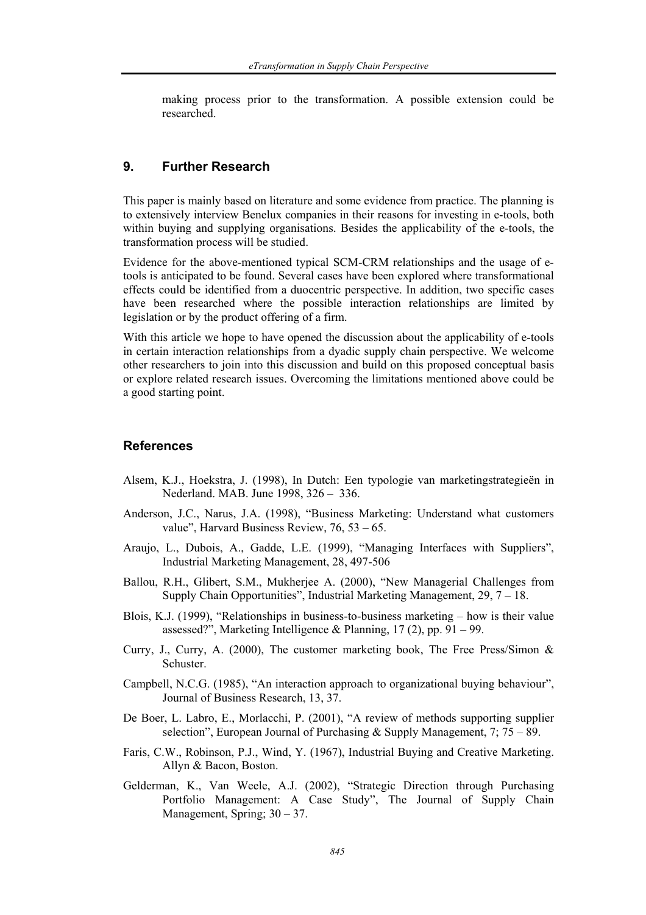making process prior to the transformation. A possible extension could be researched.

### **9. Further Research**

This paper is mainly based on literature and some evidence from practice. The planning is to extensively interview Benelux companies in their reasons for investing in e-tools, both within buying and supplying organisations. Besides the applicability of the e-tools, the transformation process will be studied.

Evidence for the above-mentioned typical SCM-CRM relationships and the usage of etools is anticipated to be found. Several cases have been explored where transformational effects could be identified from a duocentric perspective. In addition, two specific cases have been researched where the possible interaction relationships are limited by legislation or by the product offering of a firm.

With this article we hope to have opened the discussion about the applicability of e-tools in certain interaction relationships from a dyadic supply chain perspective. We welcome other researchers to join into this discussion and build on this proposed conceptual basis or explore related research issues. Overcoming the limitations mentioned above could be a good starting point.

### **References**

- Alsem, K.J., Hoekstra, J. (1998), In Dutch: Een typologie van marketingstrategieën in Nederland. MAB. June 1998, 326 – 336.
- Anderson, J.C., Narus, J.A. (1998), "Business Marketing: Understand what customers value", Harvard Business Review, 76, 53 – 65.
- Araujo, L., Dubois, A., Gadde, L.E. (1999), "Managing Interfaces with Suppliers", Industrial Marketing Management, 28, 497-506
- Ballou, R.H., Glibert, S.M., Mukherjee A. (2000), "New Managerial Challenges from Supply Chain Opportunities", Industrial Marketing Management, 29, 7 – 18.
- Blois, K.J. (1999), "Relationships in business-to-business marketing how is their value assessed?", Marketing Intelligence & Planning, 17 (2), pp. 91 – 99.
- Curry, J., Curry, A. (2000). The customer marketing book. The Free Press/Simon  $\&$ **Schuster**
- Campbell, N.C.G. (1985), "An interaction approach to organizational buying behaviour", Journal of Business Research, 13, 37.
- De Boer, L. Labro, E., Morlacchi, P. (2001), "A review of methods supporting supplier selection", European Journal of Purchasing  $&$  Supply Management, 7; 75 – 89.
- Faris, C.W., Robinson, P.J., Wind, Y. (1967), Industrial Buying and Creative Marketing. Allyn & Bacon, Boston.
- Gelderman, K., Van Weele, A.J. (2002), "Strategic Direction through Purchasing Portfolio Management: A Case Study", The Journal of Supply Chain Management, Spring; 30 – 37.